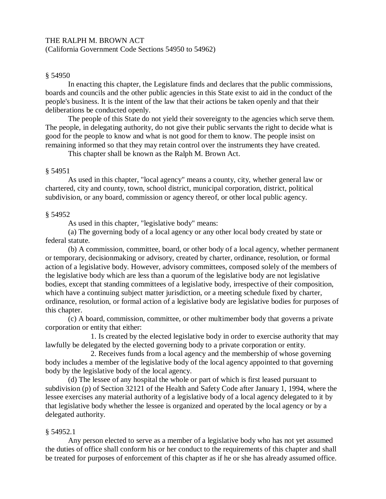# THE RALPH M. BROWN ACT

(California Government Code Sections 54950 to 54962)

### § 54950

In enacting this chapter, the Legislature finds and declares that the public commissions, boards and councils and the other public agencies in this State exist to aid in the conduct of the people's business. It is the intent of the law that their actions be taken openly and that their deliberations be conducted openly.

The people of this State do not yield their sovereignty to the agencies which serve them. The people, in delegating authority, do not give their public servants the right to decide what is good for the people to know and what is not good for them to know. The people insist on remaining informed so that they may retain control over the instruments they have created.

This chapter shall be known as the Ralph M. Brown Act.

### § 54951

As used in this chapter, "local agency" means a county, city, whether general law or chartered, city and county, town, school district, municipal corporation, district, political subdivision, or any board, commission or agency thereof, or other local public agency.

## § 54952

As used in this chapter, "legislative body" means:

(a) The governing body of a local agency or any other local body created by state or federal statute.

(b) A commission, committee, board, or other body of a local agency, whether permanent or temporary, decisionmaking or advisory, created by charter, ordinance, resolution, or formal action of a legislative body. However, advisory committees, composed solely of the members of the legislative body which are less than a quorum of the legislative body are not legislative bodies, except that standing committees of a legislative body, irrespective of their composition, which have a continuing subject matter jurisdiction, or a meeting schedule fixed by charter, ordinance, resolution, or formal action of a legislative body are legislative bodies for purposes of this chapter.

(c) A board, commission, committee, or other multimember body that governs a private corporation or entity that either:

1. Is created by the elected legislative body in order to exercise authority that may lawfully be delegated by the elected governing body to a private corporation or entity.

2. Receives funds from a local agency and the membership of whose governing body includes a member of the legislative body of the local agency appointed to that governing body by the legislative body of the local agency.

(d) The lessee of any hospital the whole or part of which is first leased pursuant to subdivision (p) of Section 32121 of the Health and Safety Code after January 1, 1994, where the lessee exercises any material authority of a legislative body of a local agency delegated to it by that legislative body whether the lessee is organized and operated by the local agency or by a delegated authority.

## § 54952.1

Any person elected to serve as a member of a legislative body who has not yet assumed the duties of office shall conform his or her conduct to the requirements of this chapter and shall be treated for purposes of enforcement of this chapter as if he or she has already assumed office.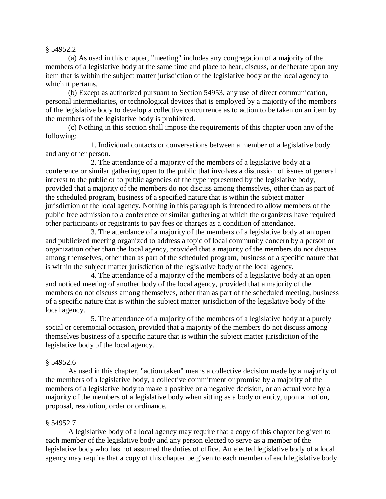### § 54952.2

(a) As used in this chapter, "meeting" includes any congregation of a majority of the members of a legislative body at the same time and place to hear, discuss, or deliberate upon any item that is within the subject matter jurisdiction of the legislative body or the local agency to which it pertains.

(b) Except as authorized pursuant to Section 54953, any use of direct communication, personal intermediaries, or technological devices that is employed by a majority of the members of the legislative body to develop a collective concurrence as to action to be taken on an item by the members of the legislative body is prohibited.

(c) Nothing in this section shall impose the requirements of this chapter upon any of the following:

1. Individual contacts or conversations between a member of a legislative body and any other person.

2. The attendance of a majority of the members of a legislative body at a conference or similar gathering open to the public that involves a discussion of issues of general interest to the public or to public agencies of the type represented by the legislative body, provided that a majority of the members do not discuss among themselves, other than as part of the scheduled program, business of a specified nature that is within the subject matter jurisdiction of the local agency. Nothing in this paragraph is intended to allow members of the public free admission to a conference or similar gathering at which the organizers have required other participants or registrants to pay fees or charges as a condition of attendance.

3. The attendance of a majority of the members of a legislative body at an open and publicized meeting organized to address a topic of local community concern by a person or organization other than the local agency, provided that a majority of the members do not discuss among themselves, other than as part of the scheduled program, business of a specific nature that is within the subject matter jurisdiction of the legislative body of the local agency.

4. The attendance of a majority of the members of a legislative body at an open and noticed meeting of another body of the local agency, provided that a majority of the members do not discuss among themselves, other than as part of the scheduled meeting, business of a specific nature that is within the subject matter jurisdiction of the legislative body of the local agency.

5. The attendance of a majority of the members of a legislative body at a purely social or ceremonial occasion, provided that a majority of the members do not discuss among themselves business of a specific nature that is within the subject matter jurisdiction of the legislative body of the local agency.

## § 54952.6

As used in this chapter, "action taken" means a collective decision made by a majority of the members of a legislative body, a collective commitment or promise by a majority of the members of a legislative body to make a positive or a negative decision, or an actual vote by a majority of the members of a legislative body when sitting as a body or entity, upon a motion, proposal, resolution, order or ordinance.

## § 54952.7

A legislative body of a local agency may require that a copy of this chapter be given to each member of the legislative body and any person elected to serve as a member of the legislative body who has not assumed the duties of office. An elected legislative body of a local agency may require that a copy of this chapter be given to each member of each legislative body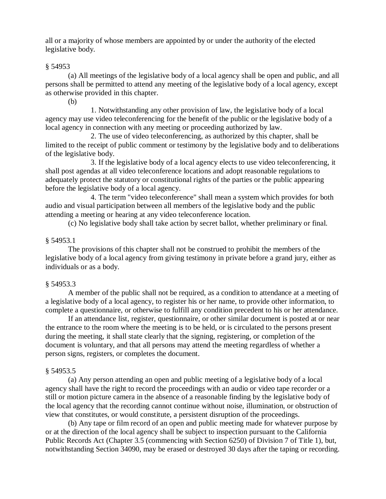all or a majority of whose members are appointed by or under the authority of the elected legislative body.

### § 54953

(a) All meetings of the legislative body of a local agency shall be open and public, and all persons shall be permitted to attend any meeting of the legislative body of a local agency, except as otherwise provided in this chapter.

(b)

1. Notwithstanding any other provision of law, the legislative body of a local agency may use video teleconferencing for the benefit of the public or the legislative body of a local agency in connection with any meeting or proceeding authorized by law.

2. The use of video teleconferencing, as authorized by this chapter, shall be limited to the receipt of public comment or testimony by the legislative body and to deliberations of the legislative body.

3. If the legislative body of a local agency elects to use video teleconferencing, it shall post agendas at all video teleconference locations and adopt reasonable regulations to adequately protect the statutory or constitutional rights of the parties or the public appearing before the legislative body of a local agency.

4. The term "video teleconference" shall mean a system which provides for both audio and visual participation between all members of the legislative body and the public attending a meeting or hearing at any video teleconference location.

(c) No legislative body shall take action by secret ballot, whether preliminary or final.

## § 54953.1

The provisions of this chapter shall not be construed to prohibit the members of the legislative body of a local agency from giving testimony in private before a grand jury, either as individuals or as a body.

## § 54953.3

A member of the public shall not be required, as a condition to attendance at a meeting of a legislative body of a local agency, to register his or her name, to provide other information, to complete a questionnaire, or otherwise to fulfill any condition precedent to his or her attendance.

If an attendance list, register, questionnaire, or other similar document is posted at or near the entrance to the room where the meeting is to be held, or is circulated to the persons present during the meeting, it shall state clearly that the signing, registering, or completion of the document is voluntary, and that all persons may attend the meeting regardless of whether a person signs, registers, or completes the document.

# § 54953.5

(a) Any person attending an open and public meeting of a legislative body of a local agency shall have the right to record the proceedings with an audio or video tape recorder or a still or motion picture camera in the absence of a reasonable finding by the legislative body of the local agency that the recording cannot continue without noise, illumination, or obstruction of view that constitutes, or would constitute, a persistent disruption of the proceedings.

(b) Any tape or film record of an open and public meeting made for whatever purpose by or at the direction of the local agency shall be subject to inspection pursuant to the California Public Records Act (Chapter 3.5 (commencing with Section 6250) of Division 7 of Title 1), but, notwithstanding Section 34090, may be erased or destroyed 30 days after the taping or recording.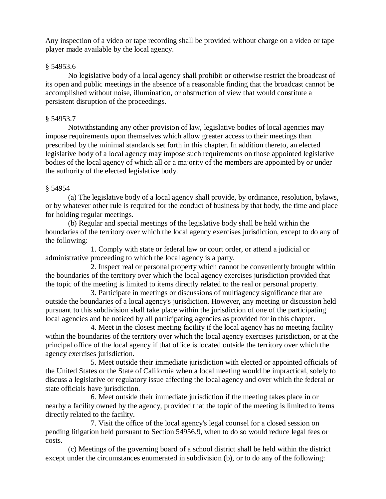Any inspection of a video or tape recording shall be provided without charge on a video or tape player made available by the local agency.

# § 54953.6

No legislative body of a local agency shall prohibit or otherwise restrict the broadcast of its open and public meetings in the absence of a reasonable finding that the broadcast cannot be accomplished without noise, illumination, or obstruction of view that would constitute a persistent disruption of the proceedings.

# § 54953.7

Notwithstanding any other provision of law, legislative bodies of local agencies may impose requirements upon themselves which allow greater access to their meetings than prescribed by the minimal standards set forth in this chapter. In addition thereto, an elected legislative body of a local agency may impose such requirements on those appointed legislative bodies of the local agency of which all or a majority of the members are appointed by or under the authority of the elected legislative body.

# § 54954

(a) The legislative body of a local agency shall provide, by ordinance, resolution, bylaws, or by whatever other rule is required for the conduct of business by that body, the time and place for holding regular meetings.

(b) Regular and special meetings of the legislative body shall be held within the boundaries of the territory over which the local agency exercises jurisdiction, except to do any of the following:

1. Comply with state or federal law or court order, or attend a judicial or administrative proceeding to which the local agency is a party.

2. Inspect real or personal property which cannot be conveniently brought within the boundaries of the territory over which the local agency exercises jurisdiction provided that the topic of the meeting is limited to items directly related to the real or personal property.

3. Participate in meetings or discussions of multiagency significance that are outside the boundaries of a local agency's jurisdiction. However, any meeting or discussion held pursuant to this subdivision shall take place within the jurisdiction of one of the participating local agencies and be noticed by all participating agencies as provided for in this chapter.

4. Meet in the closest meeting facility if the local agency has no meeting facility within the boundaries of the territory over which the local agency exercises jurisdiction, or at the principal office of the local agency if that office is located outside the territory over which the agency exercises jurisdiction.

5. Meet outside their immediate jurisdiction with elected or appointed officials of the United States or the State of California when a local meeting would be impractical, solely to discuss a legislative or regulatory issue affecting the local agency and over which the federal or state officials have jurisdiction.

6. Meet outside their immediate jurisdiction if the meeting takes place in or nearby a facility owned by the agency, provided that the topic of the meeting is limited to items directly related to the facility.

7. Visit the office of the local agency's legal counsel for a closed session on pending litigation held pursuant to Section 54956.9, when to do so would reduce legal fees or costs.

(c) Meetings of the governing board of a school district shall be held within the district except under the circumstances enumerated in subdivision (b), or to do any of the following: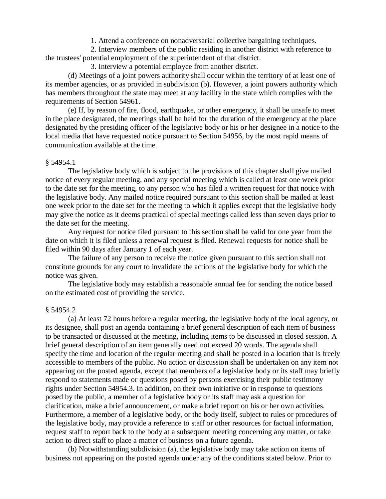1. Attend a conference on nonadversarial collective bargaining techniques.

2. Interview members of the public residing in another district with reference to the trustees' potential employment of the superintendent of that district.

3. Interview a potential employee from another district.

(d) Meetings of a joint powers authority shall occur within the territory of at least one of its member agencies, or as provided in subdivision (b). However, a joint powers authority which has members throughout the state may meet at any facility in the state which complies with the requirements of Section 54961.

(e) If, by reason of fire, flood, earthquake, or other emergency, it shall be unsafe to meet in the place designated, the meetings shall be held for the duration of the emergency at the place designated by the presiding officer of the legislative body or his or her designee in a notice to the local media that have requested notice pursuant to Section 54956, by the most rapid means of communication available at the time.

#### § 54954.1

The legislative body which is subject to the provisions of this chapter shall give mailed notice of every regular meeting, and any special meeting which is called at least one week prior to the date set for the meeting, to any person who has filed a written request for that notice with the legislative body. Any mailed notice required pursuant to this section shall be mailed at least one week prior to the date set for the meeting to which it applies except that the legislative body may give the notice as it deems practical of special meetings called less than seven days prior to the date set for the meeting.

Any request for notice filed pursuant to this section shall be valid for one year from the date on which it is filed unless a renewal request is filed. Renewal requests for notice shall be filed within 90 days after January 1 of each year.

The failure of any person to receive the notice given pursuant to this section shall not constitute grounds for any court to invalidate the actions of the legislative body for which the notice was given.

The legislative body may establish a reasonable annual fee for sending the notice based on the estimated cost of providing the service.

#### § 54954.2

(a) At least 72 hours before a regular meeting, the legislative body of the local agency, or its designee, shall post an agenda containing a brief general description of each item of business to be transacted or discussed at the meeting, including items to be discussed in closed session. A brief general description of an item generally need not exceed 20 words. The agenda shall specify the time and location of the regular meeting and shall be posted in a location that is freely accessible to members of the public. No action or discussion shall be undertaken on any item not appearing on the posted agenda, except that members of a legislative body or its staff may briefly respond to statements made or questions posed by persons exercising their public testimony rights under Section 54954.3. In addition, on their own initiative or in response to questions posed by the public, a member of a legislative body or its staff may ask a question for clarification, make a brief announcement, or make a brief report on his or her own activities. Furthermore, a member of a legislative body, or the body itself, subject to rules or procedures of the legislative body, may provide a reference to staff or other resources for factual information, request staff to report back to the body at a subsequent meeting concerning any matter, or take action to direct staff to place a matter of business on a future agenda.

(b) Notwithstanding subdivision (a), the legislative body may take action on items of business not appearing on the posted agenda under any of the conditions stated below. Prior to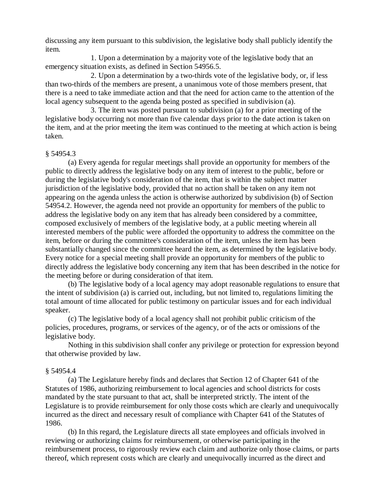discussing any item pursuant to this subdivision, the legislative body shall publicly identify the item.

1. Upon a determination by a majority vote of the legislative body that an emergency situation exists, as defined in Section 54956.5.

2. Upon a determination by a two-thirds vote of the legislative body, or, if less than two-thirds of the members are present, a unanimous vote of those members present, that there is a need to take immediate action and that the need for action came to the attention of the local agency subsequent to the agenda being posted as specified in subdivision (a).

3. The item was posted pursuant to subdivision (a) for a prior meeting of the legislative body occurring not more than five calendar days prior to the date action is taken on the item, and at the prior meeting the item was continued to the meeting at which action is being taken.

#### § 54954.3

(a) Every agenda for regular meetings shall provide an opportunity for members of the public to directly address the legislative body on any item of interest to the public, before or during the legislative body's consideration of the item, that is within the subject matter jurisdiction of the legislative body, provided that no action shall be taken on any item not appearing on the agenda unless the action is otherwise authorized by subdivision (b) of Section 54954.2. However, the agenda need not provide an opportunity for members of the public to address the legislative body on any item that has already been considered by a committee, composed exclusively of members of the legislative body, at a public meeting wherein all interested members of the public were afforded the opportunity to address the committee on the item, before or during the committee's consideration of the item, unless the item has been substantially changed since the committee heard the item, as determined by the legislative body. Every notice for a special meeting shall provide an opportunity for members of the public to directly address the legislative body concerning any item that has been described in the notice for the meeting before or during consideration of that item.

(b) The legislative body of a local agency may adopt reasonable regulations to ensure that the intent of subdivision (a) is carried out, including, but not limited to, regulations limiting the total amount of time allocated for public testimony on particular issues and for each individual speaker.

(c) The legislative body of a local agency shall not prohibit public criticism of the policies, procedures, programs, or services of the agency, or of the acts or omissions of the legislative body.

Nothing in this subdivision shall confer any privilege or protection for expression beyond that otherwise provided by law.

### § 54954.4

(a) The Legislature hereby finds and declares that Section 12 of Chapter 641 of the Statutes of 1986, authorizing reimbursement to local agencies and school districts for costs mandated by the state pursuant to that act, shall be interpreted strictly. The intent of the Legislature is to provide reimbursement for only those costs which are clearly and unequivocally incurred as the direct and necessary result of compliance with Chapter 641 of the Statutes of 1986.

(b) In this regard, the Legislature directs all state employees and officials involved in reviewing or authorizing claims for reimbursement, or otherwise participating in the reimbursement process, to rigorously review each claim and authorize only those claims, or parts thereof, which represent costs which are clearly and unequivocally incurred as the direct and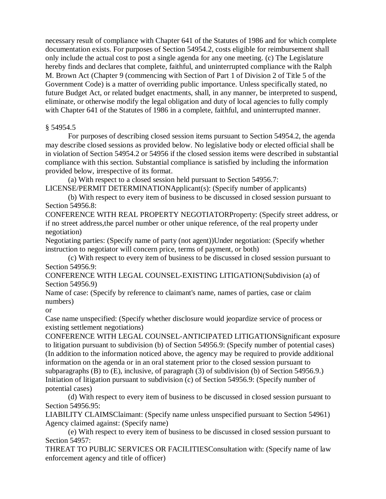necessary result of compliance with Chapter 641 of the Statutes of 1986 and for which complete documentation exists. For purposes of Section 54954.2, costs eligible for reimbursement shall only include the actual cost to post a single agenda for any one meeting. (c) The Legislature hereby finds and declares that complete, faithful, and uninterrupted compliance with the Ralph M. Brown Act (Chapter 9 (commencing with Section of Part 1 of Division 2 of Title 5 of the Government Code) is a matter of overriding public importance. Unless specifically stated, no future Budget Act, or related budget enactments, shall, in any manner, be interpreted to suspend, eliminate, or otherwise modify the legal obligation and duty of local agencies to fully comply with Chapter 641 of the Statutes of 1986 in a complete, faithful, and uninterrupted manner.

# § 54954.5

For purposes of describing closed session items pursuant to Section 54954.2, the agenda may describe closed sessions as provided below. No legislative body or elected official shall be in violation of Section 54954.2 or 54956 if the closed session items were described in substantial compliance with this section. Substantial compliance is satisfied by including the information provided below, irrespective of its format.

(a) With respect to a closed session held pursuant to Section 54956.7:

LICENSE/PERMIT DETERMINATIONApplicant(s): (Specify number of applicants) (b) With respect to every item of business to be discussed in closed session pursuant to Section 54956.8:

CONFERENCE WITH REAL PROPERTY NEGOTIATORProperty: (Specify street address, or if no street address,the parcel number or other unique reference, of the real property under negotiation)

Negotiating parties: (Specify name of party (not agent))Under negotiation: (Specify whether instruction to negotiator will concern price, terms of payment, or both)

(c) With respect to every item of business to be discussed in closed session pursuant to Section 54956.9:

CONFERENCE WITH LEGAL COUNSEL-EXISTING LITIGATION(Subdivision (a) of Section 54956.9)

Name of case: (Specify by reference to claimant's name, names of parties, case or claim numbers)

or

Case name unspecified: (Specify whether disclosure would jeopardize service of process or existing settlement negotiations)

CONFERENCE WITH LEGAL COUNSEL-ANTICIPATED LITIGATIONSignificant exposure to litigation pursuant to subdivision (b) of Section 54956.9: (Specify number of potential cases) (In addition to the information noticed above, the agency may be required to provide additional information on the agenda or in an oral statement prior to the closed session pursuant to subparagraphs (B) to (E), inclusive, of paragraph (3) of subdivision (b) of Section 54956.9.) Initiation of litigation pursuant to subdivision (c) of Section 54956.9: (Specify number of potential cases)

(d) With respect to every item of business to be discussed in closed session pursuant to Section 54956.95:

LIABILITY CLAIMSClaimant: (Specify name unless unspecified pursuant to Section 54961) Agency claimed against: (Specify name)

(e) With respect to every item of business to be discussed in closed session pursuant to Section 54957:

THREAT TO PUBLIC SERVICES OR FACILITIESConsultation with: (Specify name of law enforcement agency and title of officer)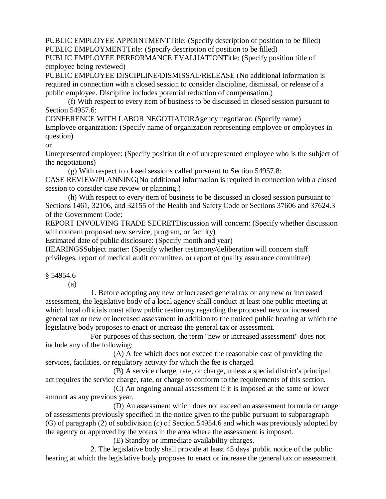PUBLIC EMPLOYEE APPOINTMENTTitle: (Specify description of position to be filled) PUBLIC EMPLOYMENTTitle: (Specify description of position to be filled)

PUBLIC EMPLOYEE PERFORMANCE EVALUATIONTitle: (Specify position title of employee being reviewed)

PUBLIC EMPLOYEE DISCIPLINE/DISMISSAL/RELEASE (No additional information is required in connection with a closed session to consider discipline, dismissal, or release of a public employee. Discipline includes potential reduction of compensation.)

(f) With respect to every item of business to be discussed in closed session pursuant to Section 54957.6:

CONFERENCE WITH LABOR NEGOTIATORAgency negotiator: (Specify name) Employee organization: (Specify name of organization representing employee or employees in question)

or

Unrepresented employee: (Specify position title of unrepresented employee who is the subject of the negotiations)

(g) With respect to closed sessions called pursuant to Section 54957.8:

CASE REVIEW/PLANNING(No additional information is required in connection with a closed session to consider case review or planning.)

(h) With respect to every item of business to be discussed in closed session pursuant to Sections 1461, 32106, and 32155 of the Health and Safety Code or Sections 37606 and 37624.3 of the Government Code:

REPORT INVOLVING TRADE SECRETDiscussion will concern: (Specify whether discussion will concern proposed new service, program, or facility)

Estimated date of public disclosure: (Specify month and year)

HEARINGSSubject matter: (Specify whether testimony/deliberation will concern staff privileges, report of medical audit committee, or report of quality assurance committee)

§ 54954.6

(a)

1. Before adopting any new or increased general tax or any new or increased assessment, the legislative body of a local agency shall conduct at least one public meeting at which local officials must allow public testimony regarding the proposed new or increased general tax or new or increased assessment in addition to the noticed public hearing at which the legislative body proposes to enact or increase the general tax or assessment.

For purposes of this section, the term "new or increased assessment" does not include any of the following:

(A) A fee which does not exceed the reasonable cost of providing the services, facilities, or regulatory activity for which the fee is charged.

(B) A service charge, rate, or charge, unless a special district's principal act requires the service charge, rate, or charge to conform to the requirements of this section.

(C) An ongoing annual assessment if it is imposed at the same or lower amount as any previous year.

(D) An assessment which does not exceed an assessment formula or range of assessments previously specified in the notice given to the public pursuant to subparagraph (G) of paragraph (2) of subdivision (c) of Section 54954.6 and which was previously adopted by the agency or approved by the voters in the area where the assessment is imposed.

(E) Standby or immediate availability charges.

2. The legislative body shall provide at least 45 days' public notice of the public hearing at which the legislative body proposes to enact or increase the general tax or assessment.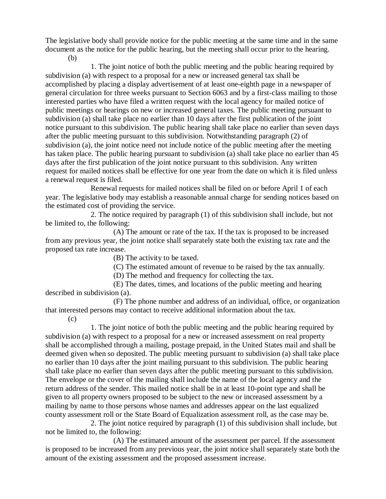The legislative body shall provide notice for the public meeting at the same time and in the same document as the notice for the public hearing, but the meeting shall occur prior to the hearing.

(b)

1. The joint notice of both the public meeting and the public hearing required by subdivision (a) with respect to a proposal for a new or increased general tax shall be accomplished by placing a display advertisement of at least one-eighth page in a newspaper of general circulation for three weeks pursuant to Section 6063 and by a first-class mailing to those interested parties who have filed a written request with the local agency for mailed notice of public meetings or hearings on new or increased general taxes. The public meeting pursuant to subdivision (a) shall take place no earlier than 10 days after the first publication of the joint notice pursuant to this subdivision. The public hearing shall take place no earlier than seven days after the public meeting pursuant to this subdivision. Notwithstanding paragraph (2) of subdivision (a), the joint notice need not include notice of the public meeting after the meeting has taken place. The public hearing pursuant to subdivision (a) shall take place no earlier than 45 days after the first publication of the joint notice pursuant to this subdivision. Any written request for mailed notices shall be effective for one year from the date on which it is filed unless a renewal request is filed.

Renewal requests for mailed notices shall be filed on or before April 1 of each year. The legislative body may establish a reasonable annual charge for sending notices based on the estimated cost of providing the service.

2. The notice required by paragraph (1) of this subdivision shall include, but not be limited to, the following:

(A) The amount or rate of the tax. If the tax is proposed to be increased from any previous year, the joint notice shall separately state both the existing tax rate and the proposed tax rate increase.

(B) The activity to be taxed.

(C) The estimated amount of revenue to be raised by the tax annually.

(D) The method and frequency for collecting the tax.

(E) The dates, times, and locations of the public meeting and hearing described in subdivision (a).

(F) The phone number and address of an individual, office, or organization that interested persons may contact to receive additional information about the tax.

(c)

1. The joint notice of both the public meeting and the public hearing required by subdivision (a) with respect to a proposal for a new or increased assessment on real property shall be accomplished through a mailing, postage prepaid, in the United States mail and shall be deemed given when so deposited. The public meeting pursuant to subdivision (a) shall take place no earlier than 10 days after the joint mailing pursuant to this subdivision. The public hearing shall take place no earlier than seven days after the public meeting pursuant to this subdivision. The envelope or the cover of the mailing shall include the name of the local agency and the return address of the sender. This mailed notice shall be in at least 10-point type and shall be given to all property owners proposed to be subject to the new or increased assessment by a mailing by name to those persons whose names and addresses appear on the last equalized county assessment roll or the State Board of Equalization assessment roll, as the case may be.

2. The joint notice required by paragraph (1) of this subdivision shall include, but not be limited to, the following:

(A) The estimated amount of the assessment per parcel. If the assessment is proposed to be increased from any previous year, the joint notice shall separately state both the amount of the existing assessment and the proposed assessment increase.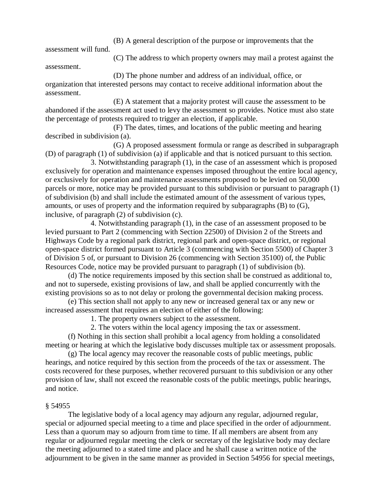(B) A general description of the purpose or improvements that the

assessment will fund.

assessment.

(C) The address to which property owners may mail a protest against the

(D) The phone number and address of an individual, office, or organization that interested persons may contact to receive additional information about the assessment.

(E) A statement that a majority protest will cause the assessment to be abandoned if the assessment act used to levy the assessment so provides. Notice must also state the percentage of protests required to trigger an election, if applicable.

(F) The dates, times, and locations of the public meeting and hearing described in subdivision (a).

(G) A proposed assessment formula or range as described in subparagraph (D) of paragraph (1) of subdivision (a) if applicable and that is noticed pursuant to this section.

3. Notwithstanding paragraph (1), in the case of an assessment which is proposed exclusively for operation and maintenance expenses imposed throughout the entire local agency, or exclusively for operation and maintenance assessments proposed to be levied on 50,000 parcels or more, notice may be provided pursuant to this subdivision or pursuant to paragraph (1) of subdivision (b) and shall include the estimated amount of the assessment of various types, amounts, or uses of property and the information required by subparagraphs (B) to (G), inclusive, of paragraph (2) of subdivision (c).

4. Notwithstanding paragraph (1), in the case of an assessment proposed to be levied pursuant to Part 2 (commencing with Section 22500) of Division 2 of the Streets and Highways Code by a regional park district, regional park and open-space district, or regional open-space district formed pursuant to Article 3 (commencing with Section 5500) of Chapter 3 of Division 5 of, or pursuant to Division 26 (commencing with Section 35100) of, the Public Resources Code, notice may be provided pursuant to paragraph (1) of subdivision (b).

(d) The notice requirements imposed by this section shall be construed as additional to, and not to supersede, existing provisions of law, and shall be applied concurrently with the existing provisions so as to not delay or prolong the governmental decision making process.

(e) This section shall not apply to any new or increased general tax or any new or increased assessment that requires an election of either of the following:

1. The property owners subject to the assessment.

2. The voters within the local agency imposing the tax or assessment.

(f) Nothing in this section shall prohibit a local agency from holding a consolidated meeting or hearing at which the legislative body discusses multiple tax or assessment proposals.

(g) The local agency may recover the reasonable costs of public meetings, public hearings, and notice required by this section from the proceeds of the tax or assessment. The costs recovered for these purposes, whether recovered pursuant to this subdivision or any other provision of law, shall not exceed the reasonable costs of the public meetings, public hearings, and notice.

# § 54955

The legislative body of a local agency may adjourn any regular, adjourned regular, special or adjourned special meeting to a time and place specified in the order of adjournment. Less than a quorum may so adjourn from time to time. If all members are absent from any regular or adjourned regular meeting the clerk or secretary of the legislative body may declare the meeting adjourned to a stated time and place and he shall cause a written notice of the adjournment to be given in the same manner as provided in Section 54956 for special meetings,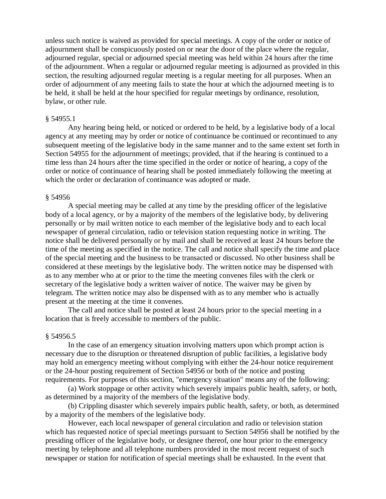unless such notice is waived as provided for special meetings. A copy of the order or notice of adjournment shall be conspicuously posted on or near the door of the place where the regular, adjourned regular, special or adjourned special meeting was held within 24 hours after the time of the adjournment. When a regular or adjourned regular meeting is adjourned as provided in this section, the resulting adjourned regular meeting is a regular meeting for all purposes. When an order of adjournment of any meeting fails to state the hour at which the adjourned meeting is to be held, it shall be held at the hour specified for regular meetings by ordinance, resolution, bylaw, or other rule.

#### § 54955.1

Any hearing being held, or noticed or ordered to be held, by a legislative body of a local agency at any meeting may by order or notice of continuance be continued or recontinued to any subsequent meeting of the legislative body in the same manner and to the same extent set forth in Section 54955 for the adjournment of meetings; provided, that if the hearing is continued to a time less than 24 hours after the time specified in the order or notice of hearing, a copy of the order or notice of continuance of hearing shall be posted immediately following the meeting at which the order or declaration of continuance was adopted or made.

#### § 54956

A special meeting may be called at any time by the presiding officer of the legislative body of a local agency, or by a majority of the members of the legislative body, by delivering personally or by mail written notice to each member of the legislative body and to each local newspaper of general circulation, radio or television station requesting notice in writing. The notice shall be delivered personally or by mail and shall be received at least 24 hours before the time of the meeting as specified in the notice. The call and notice shall specify the time and place of the special meeting and the business to be transacted or discussed. No other business shall be considered at these meetings by the legislative body. The written notice may be dispensed with as to any member who at or prior to the time the meeting convenes files with the clerk or secretary of the legislative body a written waiver of notice. The waiver may be given by telegram. The written notice may also be dispensed with as to any member who is actually present at the meeting at the time it convenes.

The call and notice shall be posted at least 24 hours prior to the special meeting in a location that is freely accessible to members of the public.

#### § 54956.5

In the case of an emergency situation involving matters upon which prompt action is necessary due to the disruption or threatened disruption of public facilities, a legislative body may hold an emergency meeting without complying with either the 24-hour notice requirement or the 24-hour posting requirement of Section 54956 or both of the notice and posting requirements. For purposes of this section, "emergency situation" means any of the following:

(a) Work stoppage or other activity which severely impairs public health, safety, or both, as determined by a majority of the members of the legislative body.

(b) Crippling disaster which severely impairs public health, safety, or both, as determined by a majority of the members of the legislative body.

However, each local newspaper of general circulation and radio or television station which has requested notice of special meetings pursuant to Section 54956 shall be notified by the presiding officer of the legislative body, or designee thereof, one hour prior to the emergency meeting by telephone and all telephone numbers provided in the most recent request of such newspaper or station for notification of special meetings shall be exhausted. In the event that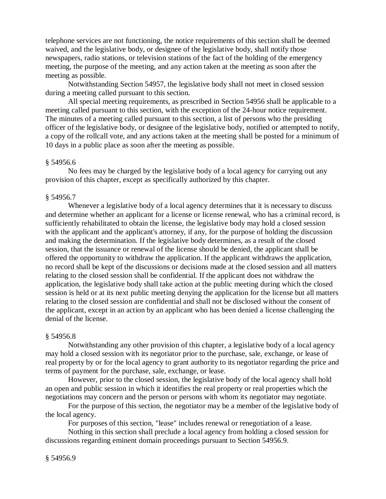telephone services are not functioning, the notice requirements of this section shall be deemed waived, and the legislative body, or designee of the legislative body, shall notify those newspapers, radio stations, or television stations of the fact of the holding of the emergency meeting, the purpose of the meeting, and any action taken at the meeting as soon after the meeting as possible.

Notwithstanding Section 54957, the legislative body shall not meet in closed session during a meeting called pursuant to this section.

All special meeting requirements, as prescribed in Section 54956 shall be applicable to a meeting called pursuant to this section, with the exception of the 24-hour notice requirement. The minutes of a meeting called pursuant to this section, a list of persons who the presiding officer of the legislative body, or designee of the legislative body, notified or attempted to notify, a copy of the rollcall vote, and any actions taken at the meeting shall be posted for a minimum of 10 days in a public place as soon after the meeting as possible.

### § 54956.6

No fees may be charged by the legislative body of a local agency for carrying out any provision of this chapter, except as specifically authorized by this chapter.

#### § 54956.7

Whenever a legislative body of a local agency determines that it is necessary to discuss and determine whether an applicant for a license or license renewal, who has a criminal record, is sufficiently rehabilitated to obtain the license, the legislative body may hold a closed session with the applicant and the applicant's attorney, if any, for the purpose of holding the discussion and making the determination. If the legislative body determines, as a result of the closed session, that the issuance or renewal of the license should be denied, the applicant shall be offered the opportunity to withdraw the application. If the applicant withdraws the application, no record shall be kept of the discussions or decisions made at the closed session and all matters relating to the closed session shall be confidential. If the applicant does not withdraw the application, the legislative body shall take action at the public meeting during which the closed session is held or at its next public meeting denying the application for the license but all matters relating to the closed session are confidential and shall not be disclosed without the consent of the applicant, except in an action by an applicant who has been denied a license challenging the denial of the license.

#### § 54956.8

Notwithstanding any other provision of this chapter, a legislative body of a local agency may hold a closed session with its negotiator prior to the purchase, sale, exchange, or lease of real property by or for the local agency to grant authority to its negotiator regarding the price and terms of payment for the purchase, sale, exchange, or lease.

However, prior to the closed session, the legislative body of the local agency shall hold an open and public session in which it identifies the real property or real properties which the negotiations may concern and the person or persons with whom its negotiator may negotiate.

For the purpose of this section, the negotiator may be a member of the legislative body of the local agency.

For purposes of this section, "lease" includes renewal or renegotiation of a lease.

Nothing in this section shall preclude a local agency from holding a closed session for discussions regarding eminent domain proceedings pursuant to Section 54956.9.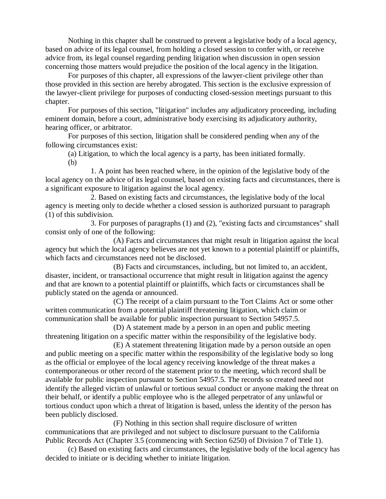Nothing in this chapter shall be construed to prevent a legislative body of a local agency, based on advice of its legal counsel, from holding a closed session to confer with, or receive advice from, its legal counsel regarding pending litigation when discussion in open session concerning those matters would prejudice the position of the local agency in the litigation.

For purposes of this chapter, all expressions of the lawyer-client privilege other than those provided in this section are hereby abrogated. This section is the exclusive expression of the lawyer-client privilege for purposes of conducting closed-session meetings pursuant to this chapter.

For purposes of this section, "litigation" includes any adjudicatory proceeding, including eminent domain, before a court, administrative body exercising its adjudicatory authority, hearing officer, or arbitrator.

For purposes of this section, litigation shall be considered pending when any of the following circumstances exist:

(a) Litigation, to which the local agency is a party, has been initiated formally.

(b)

1. A point has been reached where, in the opinion of the legislative body of the local agency on the advice of its legal counsel, based on existing facts and circumstances, there is a significant exposure to litigation against the local agency.

2. Based on existing facts and circumstances, the legislative body of the local agency is meeting only to decide whether a closed session is authorized pursuant to paragraph (1) of this subdivision.

3. For purposes of paragraphs (1) and (2), "existing facts and circumstances" shall consist only of one of the following:

(A) Facts and circumstances that might result in litigation against the local agency but which the local agency believes are not yet known to a potential plaintiff or plaintiffs, which facts and circumstances need not be disclosed.

(B) Facts and circumstances, including, but not limited to, an accident, disaster, incident, or transactional occurrence that might result in litigation against the agency and that are known to a potential plaintiff or plaintiffs, which facts or circumstances shall be publicly stated on the agenda or announced.

(C) The receipt of a claim pursuant to the Tort Claims Act or some other written communication from a potential plaintiff threatening litigation, which claim or communication shall be available for public inspection pursuant to Section 54957.5.

(D) A statement made by a person in an open and public meeting threatening litigation on a specific matter within the responsibility of the legislative body.

(E) A statement threatening litigation made by a person outside an open and public meeting on a specific matter within the responsibility of the legislative body so long as the official or employee of the local agency receiving knowledge of the threat makes a contemporaneous or other record of the statement prior to the meeting, which record shall be available for public inspection pursuant to Section 54957.5. The records so created need not identify the alleged victim of unlawful or tortious sexual conduct or anyone making the threat on their behalf, or identify a public employee who is the alleged perpetrator of any unlawful or tortious conduct upon which a threat of litigation is based, unless the identity of the person has been publicly disclosed.

(F) Nothing in this section shall require disclosure of written communications that are privileged and not subject to disclosure pursuant to the California Public Records Act (Chapter 3.5 (commencing with Section 6250) of Division 7 of Title 1).

(c) Based on existing facts and circumstances, the legislative body of the local agency has decided to initiate or is deciding whether to initiate litigation.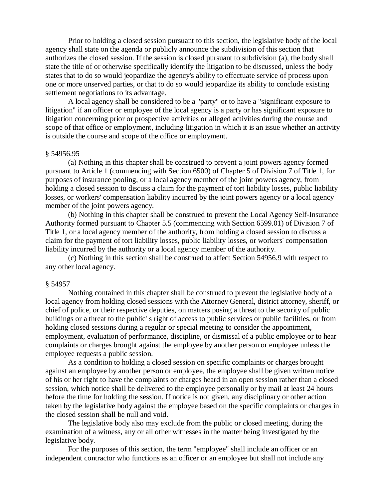Prior to holding a closed session pursuant to this section, the legislative body of the local agency shall state on the agenda or publicly announce the subdivision of this section that authorizes the closed session. If the session is closed pursuant to subdivision (a), the body shall state the title of or otherwise specifically identify the litigation to be discussed, unless the body states that to do so would jeopardize the agency's ability to effectuate service of process upon one or more unserved parties, or that to do so would jeopardize its ability to conclude existing settlement negotiations to its advantage.

A local agency shall be considered to be a "party" or to have a "significant exposure to litigation" if an officer or employee of the local agency is a party or has significant exposure to litigation concerning prior or prospective activities or alleged activities during the course and scope of that office or employment, including litigation in which it is an issue whether an activity is outside the course and scope of the office or employment.

#### § 54956.95

(a) Nothing in this chapter shall be construed to prevent a joint powers agency formed pursuant to Article 1 (commencing with Section 6500) of Chapter 5 of Division 7 of Title 1, for purposes of insurance pooling, or a local agency member of the joint powers agency, from holding a closed session to discuss a claim for the payment of tort liability losses, public liability losses, or workers' compensation liability incurred by the joint powers agency or a local agency member of the joint powers agency.

(b) Nothing in this chapter shall be construed to prevent the Local Agency Self-Insurance Authority formed pursuant to Chapter 5.5 (commencing with Section 6599.01) of Division 7 of Title 1, or a local agency member of the authority, from holding a closed session to discuss a claim for the payment of tort liability losses, public liability losses, or workers' compensation liability incurred by the authority or a local agency member of the authority.

(c) Nothing in this section shall be construed to affect Section 54956.9 with respect to any other local agency.

#### § 54957

Nothing contained in this chapter shall be construed to prevent the legislative body of a local agency from holding closed sessions with the Attorney General, district attorney, sheriff, or chief of police, or their respective deputies, on matters posing a threat to the security of public buildings or a threat to the public' s right of access to public services or public facilities, or from holding closed sessions during a regular or special meeting to consider the appointment, employment, evaluation of performance, discipline, or dismissal of a public employee or to hear complaints or charges brought against the employee by another person or employee unless the employee requests a public session.

As a condition to holding a closed session on specific complaints or charges brought against an employee by another person or employee, the employee shall be given written notice of his or her right to have the complaints or charges heard in an open session rather than a closed session, which notice shall be delivered to the employee personally or by mail at least 24 hours before the time for holding the session. If notice is not given, any disciplinary or other action taken by the legislative body against the employee based on the specific complaints or charges in the closed session shall be null and void.

The legislative body also may exclude from the public or closed meeting, during the examination of a witness, any or all other witnesses in the matter being investigated by the legislative body.

For the purposes of this section, the term "employee" shall include an officer or an independent contractor who functions as an officer or an employee but shall not include any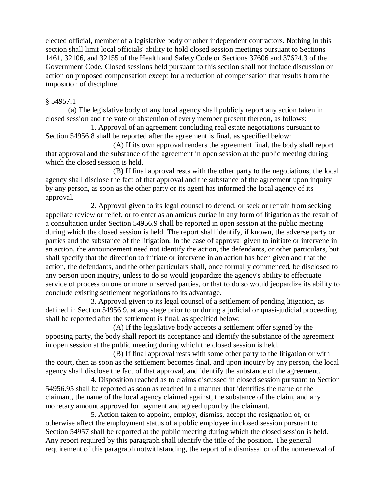elected official, member of a legislative body or other independent contractors. Nothing in this section shall limit local officials' ability to hold closed session meetings pursuant to Sections 1461, 32106, and 32155 of the Health and Safety Code or Sections 37606 and 37624.3 of the Government Code. Closed sessions held pursuant to this section shall not include discussion or action on proposed compensation except for a reduction of compensation that results from the imposition of discipline.

# § 54957.1

(a) The legislative body of any local agency shall publicly report any action taken in closed session and the vote or abstention of every member present thereon, as follows:

1. Approval of an agreement concluding real estate negotiations pursuant to Section 54956.8 shall be reported after the agreement is final, as specified below:

(A) If its own approval renders the agreement final, the body shall report that approval and the substance of the agreement in open session at the public meeting during which the closed session is held.

(B) If final approval rests with the other party to the negotiations, the local agency shall disclose the fact of that approval and the substance of the agreement upon inquiry by any person, as soon as the other party or its agent has informed the local agency of its approval.

2. Approval given to its legal counsel to defend, or seek or refrain from seeking appellate review or relief, or to enter as an amicus curiae in any form of litigation as the result of a consultation under Section 54956.9 shall be reported in open session at the public meeting during which the closed session is held. The report shall identify, if known, the adverse party or parties and the substance of the litigation. In the case of approval given to initiate or intervene in an action, the announcement need not identify the action, the defendants, or other particulars, but shall specify that the direction to initiate or intervene in an action has been given and that the action, the defendants, and the other particulars shall, once formally commenced, be disclosed to any person upon inquiry, unless to do so would jeopardize the agency's ability to effectuate service of process on one or more unserved parties, or that to do so would jeopardize its ability to conclude existing settlement negotiations to its advantage.

3. Approval given to its legal counsel of a settlement of pending litigation, as defined in Section 54956.9, at any stage prior to or during a judicial or quasi-judicial proceeding shall be reported after the settlement is final, as specified below:

(A) If the legislative body accepts a settlement offer signed by the opposing party, the body shall report its acceptance and identify the substance of the agreement in open session at the public meeting during which the closed session is held.

(B) If final approval rests with some other party to the litigation or with the court, then as soon as the settlement becomes final, and upon inquiry by any person, the local agency shall disclose the fact of that approval, and identify the substance of the agreement.

4. Disposition reached as to claims discussed in closed session pursuant to Section 54956.95 shall be reported as soon as reached in a manner that identifies the name of the claimant, the name of the local agency claimed against, the substance of the claim, and any monetary amount approved for payment and agreed upon by the claimant.

5. Action taken to appoint, employ, dismiss, accept the resignation of, or otherwise affect the employment status of a public employee in closed session pursuant to Section 54957 shall be reported at the public meeting during which the closed session is held. Any report required by this paragraph shall identify the title of the position. The general requirement of this paragraph notwithstanding, the report of a dismissal or of the nonrenewal of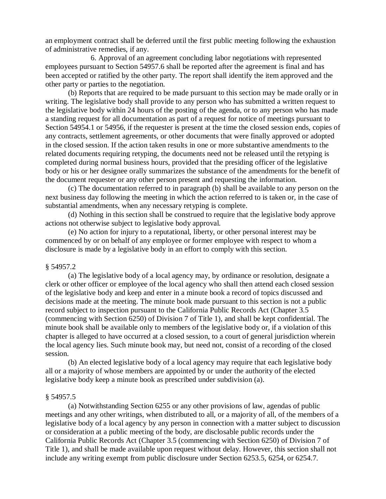an employment contract shall be deferred until the first public meeting following the exhaustion of administrative remedies, if any.

6. Approval of an agreement concluding labor negotiations with represented employees pursuant to Section 54957.6 shall be reported after the agreement is final and has been accepted or ratified by the other party. The report shall identify the item approved and the other party or parties to the negotiation.

(b) Reports that are required to be made pursuant to this section may be made orally or in writing. The legislative body shall provide to any person who has submitted a written request to the legislative body within 24 hours of the posting of the agenda, or to any person who has made a standing request for all documentation as part of a request for notice of meetings pursuant to Section 54954.1 or 54956, if the requester is present at the time the closed session ends, copies of any contracts, settlement agreements, or other documents that were finally approved or adopted in the closed session. If the action taken results in one or more substantive amendments to the related documents requiring retyping, the documents need not be released until the retyping is completed during normal business hours, provided that the presiding officer of the legislative body or his or her designee orally summarizes the substance of the amendments for the benefit of the document requester or any other person present and requesting the information.

(c) The documentation referred to in paragraph (b) shall be available to any person on the next business day following the meeting in which the action referred to is taken or, in the case of substantial amendments, when any necessary retyping is complete.

(d) Nothing in this section shall be construed to require that the legislative body approve actions not otherwise subject to legislative body approval.

(e) No action for injury to a reputational, liberty, or other personal interest may be commenced by or on behalf of any employee or former employee with respect to whom a disclosure is made by a legislative body in an effort to comply with this section.

### § 54957.2

(a) The legislative body of a local agency may, by ordinance or resolution, designate a clerk or other officer or employee of the local agency who shall then attend each closed session of the legislative body and keep and enter in a minute book a record of topics discussed and decisions made at the meeting. The minute book made pursuant to this section is not a public record subject to inspection pursuant to the California Public Records Act (Chapter 3.5 (commencing with Section 6250) of Division 7 of Title 1), and shall be kept confidential. The minute book shall be available only to members of the legislative body or, if a violation of this chapter is alleged to have occurred at a closed session, to a court of general jurisdiction wherein the local agency lies. Such minute book may, but need not, consist of a recording of the closed session.

(b) An elected legislative body of a local agency may require that each legislative body all or a majority of whose members are appointed by or under the authority of the elected legislative body keep a minute book as prescribed under subdivision (a).

#### § 54957.5

(a) Notwithstanding Section 6255 or any other provisions of law, agendas of public meetings and any other writings, when distributed to all, or a majority of all, of the members of a legislative body of a local agency by any person in connection with a matter subject to discussion or consideration at a public meeting of the body, are disclosable public records under the California Public Records Act (Chapter 3.5 (commencing with Section 6250) of Division 7 of Title 1), and shall be made available upon request without delay. However, this section shall not include any writing exempt from public disclosure under Section 6253.5, 6254, or 6254.7.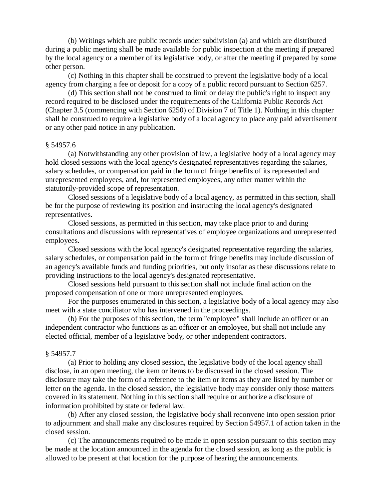(b) Writings which are public records under subdivision (a) and which are distributed during a public meeting shall be made available for public inspection at the meeting if prepared by the local agency or a member of its legislative body, or after the meeting if prepared by some other person.

(c) Nothing in this chapter shall be construed to prevent the legislative body of a local agency from charging a fee or deposit for a copy of a public record pursuant to Section 6257.

(d) This section shall not be construed to limit or delay the public's right to inspect any record required to be disclosed under the requirements of the California Public Records Act (Chapter 3.5 (commencing with Section 6250) of Division 7 of Title 1). Nothing in this chapter shall be construed to require a legislative body of a local agency to place any paid advertisement or any other paid notice in any publication.

### § 54957.6

(a) Notwithstanding any other provision of law, a legislative body of a local agency may hold closed sessions with the local agency's designated representatives regarding the salaries, salary schedules, or compensation paid in the form of fringe benefits of its represented and unrepresented employees, and, for represented employees, any other matter within the statutorily-provided scope of representation.

Closed sessions of a legislative body of a local agency, as permitted in this section, shall be for the purpose of reviewing its position and instructing the local agency's designated representatives.

Closed sessions, as permitted in this section, may take place prior to and during consultations and discussions with representatives of employee organizations and unrepresented employees.

Closed sessions with the local agency's designated representative regarding the salaries, salary schedules, or compensation paid in the form of fringe benefits may include discussion of an agency's available funds and funding priorities, but only insofar as these discussions relate to providing instructions to the local agency's designated representative.

Closed sessions held pursuant to this section shall not include final action on the proposed compensation of one or more unrepresented employees.

For the purposes enumerated in this section, a legislative body of a local agency may also meet with a state conciliator who has intervened in the proceedings.

(b) For the purposes of this section, the term "employee" shall include an officer or an independent contractor who functions as an officer or an employee, but shall not include any elected official, member of a legislative body, or other independent contractors.

### § 54957.7

(a) Prior to holding any closed session, the legislative body of the local agency shall disclose, in an open meeting, the item or items to be discussed in the closed session. The disclosure may take the form of a reference to the item or items as they are listed by number or letter on the agenda. In the closed session, the legislative body may consider only those matters covered in its statement. Nothing in this section shall require or authorize a disclosure of information prohibited by state or federal law.

(b) After any closed session, the legislative body shall reconvene into open session prior to adjournment and shall make any disclosures required by Section 54957.1 of action taken in the closed session.

(c) The announcements required to be made in open session pursuant to this section may be made at the location announced in the agenda for the closed session, as long as the public is allowed to be present at that location for the purpose of hearing the announcements.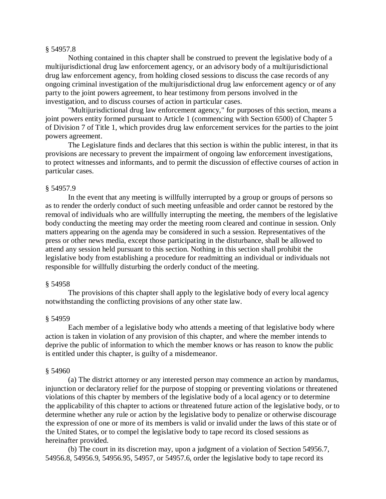#### § 54957.8

Nothing contained in this chapter shall be construed to prevent the legislative body of a multijurisdictional drug law enforcement agency, or an advisory body of a multijurisdictional drug law enforcement agency, from holding closed sessions to discuss the case records of any ongoing criminal investigation of the multijurisdictional drug law enforcement agency or of any party to the joint powers agreement, to hear testimony from persons involved in the investigation, and to discuss courses of action in particular cases.

"Multijurisdictional drug law enforcement agency," for purposes of this section, means a joint powers entity formed pursuant to Article 1 (commencing with Section 6500) of Chapter 5 of Division 7 of Title 1, which provides drug law enforcement services for the parties to the joint powers agreement.

The Legislature finds and declares that this section is within the public interest, in that its provisions are necessary to prevent the impairment of ongoing law enforcement investigations, to protect witnesses and informants, and to permit the discussion of effective courses of action in particular cases.

#### § 54957.9

In the event that any meeting is willfully interrupted by a group or groups of persons so as to render the orderly conduct of such meeting unfeasible and order cannot be restored by the removal of individuals who are willfully interrupting the meeting, the members of the legislative body conducting the meeting may order the meeting room cleared and continue in session. Only matters appearing on the agenda may be considered in such a session. Representatives of the press or other news media, except those participating in the disturbance, shall be allowed to attend any session held pursuant to this section. Nothing in this section shall prohibit the legislative body from establishing a procedure for readmitting an individual or individuals not responsible for willfully disturbing the orderly conduct of the meeting.

#### § 54958

The provisions of this chapter shall apply to the legislative body of every local agency notwithstanding the conflicting provisions of any other state law.

#### § 54959

Each member of a legislative body who attends a meeting of that legislative body where action is taken in violation of any provision of this chapter, and where the member intends to deprive the public of information to which the member knows or has reason to know the public is entitled under this chapter, is guilty of a misdemeanor.

#### § 54960

(a) The district attorney or any interested person may commence an action by mandamus, injunction or declaratory relief for the purpose of stopping or preventing violations or threatened violations of this chapter by members of the legislative body of a local agency or to determine the applicability of this chapter to actions or threatened future action of the legislative body, or to determine whether any rule or action by the legislative body to penalize or otherwise discourage the expression of one or more of its members is valid or invalid under the laws of this state or of the United States, or to compel the legislative body to tape record its closed sessions as hereinafter provided.

(b) The court in its discretion may, upon a judgment of a violation of Section 54956.7, 54956.8, 54956.9, 54956.95, 54957, or 54957.6, order the legislative body to tape record its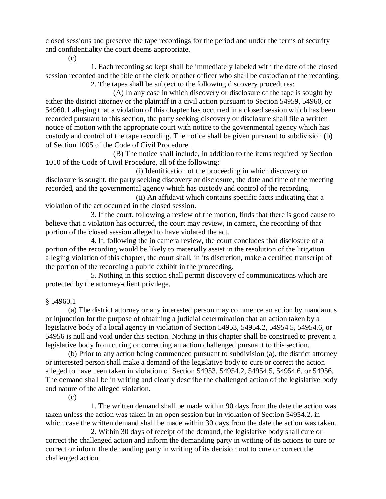closed sessions and preserve the tape recordings for the period and under the terms of security and confidentiality the court deems appropriate.

(c)

1. Each recording so kept shall be immediately labeled with the date of the closed session recorded and the title of the clerk or other officer who shall be custodian of the recording.

2. The tapes shall be subject to the following discovery procedures:

(A) In any case in which discovery or disclosure of the tape is sought by either the district attorney or the plaintiff in a civil action pursuant to Section 54959, 54960, or 54960.1 alleging that a violation of this chapter has occurred in a closed session which has been recorded pursuant to this section, the party seeking discovery or disclosure shall file a written notice of motion with the appropriate court with notice to the governmental agency which has custody and control of the tape recording. The notice shall be given pursuant to subdivision (b) of Section 1005 of the Code of Civil Procedure.

(B) The notice shall include, in addition to the items required by Section 1010 of the Code of Civil Procedure, all of the following:

(i) Identification of the proceeding in which discovery or disclosure is sought, the party seeking discovery or disclosure, the date and time of the meeting recorded, and the governmental agency which has custody and control of the recording.

(ii) An affidavit which contains specific facts indicating that a violation of the act occurred in the closed session.

3. If the court, following a review of the motion, finds that there is good cause to believe that a violation has occurred, the court may review, in camera, the recording of that portion of the closed session alleged to have violated the act.

4. If, following the in camera review, the court concludes that disclosure of a portion of the recording would be likely to materially assist in the resolution of the litigation alleging violation of this chapter, the court shall, in its discretion, make a certified transcript of the portion of the recording a public exhibit in the proceeding.

5. Nothing in this section shall permit discovery of communications which are protected by the attorney-client privilege.

# § 54960.1

(a) The district attorney or any interested person may commence an action by mandamus or injunction for the purpose of obtaining a judicial determination that an action taken by a legislative body of a local agency in violation of Section 54953, 54954.2, 54954.5, 54954.6, or 54956 is null and void under this section. Nothing in this chapter shall be construed to prevent a legislative body from curing or correcting an action challenged pursuant to this section.

(b) Prior to any action being commenced pursuant to subdivision (a), the district attorney or interested person shall make a demand of the legislative body to cure or correct the action alleged to have been taken in violation of Section 54953, 54954.2, 54954.5, 54954.6, or 54956. The demand shall be in writing and clearly describe the challenged action of the legislative body and nature of the alleged violation.

 $(c)$ 

1. The written demand shall be made within 90 days from the date the action was taken unless the action was taken in an open session but in violation of Section 54954.2, in which case the written demand shall be made within 30 days from the date the action was taken.

2. Within 30 days of receipt of the demand, the legislative body shall cure or correct the challenged action and inform the demanding party in writing of its actions to cure or correct or inform the demanding party in writing of its decision not to cure or correct the challenged action.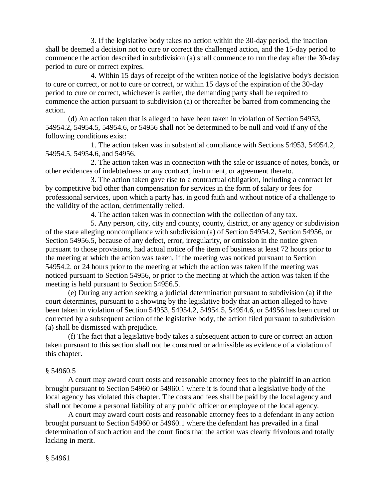3. If the legislative body takes no action within the 30-day period, the inaction shall be deemed a decision not to cure or correct the challenged action, and the 15-day period to commence the action described in subdivision (a) shall commence to run the day after the 30-day period to cure or correct expires.

4. Within 15 days of receipt of the written notice of the legislative body's decision to cure or correct, or not to cure or correct, or within 15 days of the expiration of the 30-day period to cure or correct, whichever is earlier, the demanding party shall be required to commence the action pursuant to subdivision (a) or thereafter be barred from commencing the action.

(d) An action taken that is alleged to have been taken in violation of Section 54953, 54954.2, 54954.5, 54954.6, or 54956 shall not be determined to be null and void if any of the following conditions exist:

1. The action taken was in substantial compliance with Sections 54953, 54954.2, 54954.5, 54954.6, and 54956.

2. The action taken was in connection with the sale or issuance of notes, bonds, or other evidences of indebtedness or any contract, instrument, or agreement thereto.

3. The action taken gave rise to a contractual obligation, including a contract let by competitive bid other than compensation for services in the form of salary or fees for professional services, upon which a party has, in good faith and without notice of a challenge to the validity of the action, detrimentally relied.

4. The action taken was in connection with the collection of any tax.

5. Any person, city, city and county, county, district, or any agency or subdivision of the state alleging noncompliance with subdivision (a) of Section 54954.2, Section 54956, or Section 54956.5, because of any defect, error, irregularity, or omission in the notice given pursuant to those provisions, had actual notice of the item of business at least 72 hours prior to the meeting at which the action was taken, if the meeting was noticed pursuant to Section 54954.2, or 24 hours prior to the meeting at which the action was taken if the meeting was noticed pursuant to Section 54956, or prior to the meeting at which the action was taken if the meeting is held pursuant to Section 54956.5.

(e) During any action seeking a judicial determination pursuant to subdivision (a) if the court determines, pursuant to a showing by the legislative body that an action alleged to have been taken in violation of Section 54953, 54954.2, 54954.5, 54954.6, or 54956 has been cured or corrected by a subsequent action of the legislative body, the action filed pursuant to subdivision (a) shall be dismissed with prejudice.

(f) The fact that a legislative body takes a subsequent action to cure or correct an action taken pursuant to this section shall not be construed or admissible as evidence of a violation of this chapter.

## § 54960.5

A court may award court costs and reasonable attorney fees to the plaintiff in an action brought pursuant to Section 54960 or 54960.1 where it is found that a legislative body of the local agency has violated this chapter. The costs and fees shall be paid by the local agency and shall not become a personal liability of any public officer or employee of the local agency.

A court may award court costs and reasonable attorney fees to a defendant in any action brought pursuant to Section 54960 or 54960.1 where the defendant has prevailed in a final determination of such action and the court finds that the action was clearly frivolous and totally lacking in merit.